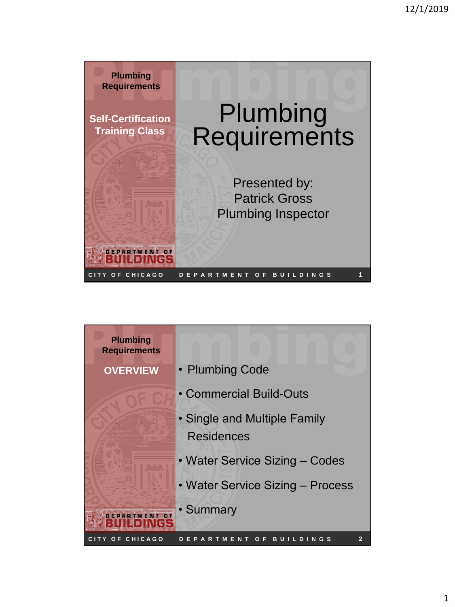

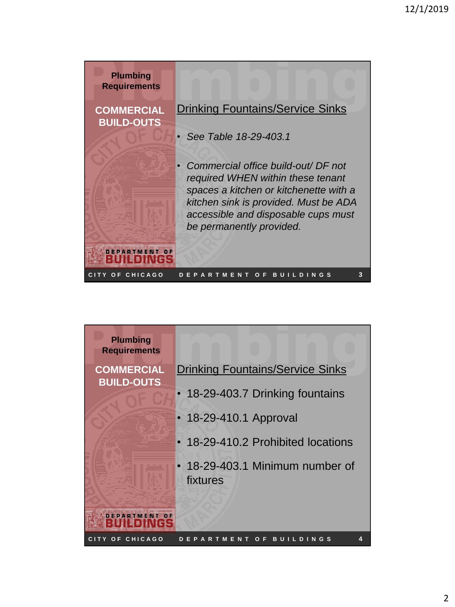| <b>Plumbing</b><br><b>Requirements</b> |                                                                                                                                                                                         |
|----------------------------------------|-----------------------------------------------------------------------------------------------------------------------------------------------------------------------------------------|
| <b>COMMERCIAL</b><br><b>BUILD-OUTS</b> | <b>Drinking Fountains/Service Sinks</b>                                                                                                                                                 |
|                                        | See Table 18-29-403.1<br>Commercial office build-out/ DF not                                                                                                                            |
|                                        | required WHEN within these tenant<br>spaces a kitchen or kitchenette with a<br>kitchen sink is provided. Must be ADA<br>accessible and disposable cups must<br>be permanently provided. |
| EPARTMENT<br>Y OF CHICAGO              | O F<br>D I N G S<br>з<br>R.<br>ENT<br>в<br>M                                                                                                                                            |

| <b>Plumbing</b><br><b>Requirements</b> |                                                     |
|----------------------------------------|-----------------------------------------------------|
| <b>COMMERCIAL</b><br><b>BUILD-OUTS</b> | <b>Drinking Fountains/Service Sinks</b>             |
|                                        | • 18-29-403.7 Drinking fountains                    |
|                                        | • 18-29-410.1 Approval                              |
|                                        | • 18-29-410.2 Prohibited locations                  |
|                                        | • 18-29-403.1 Minimum number of<br>fixtures         |
|                                        |                                                     |
| CITY OF CHICAGO                        | <b>BUILDINGS</b><br>4<br><b>EPARTMENT</b><br>Ω<br>Е |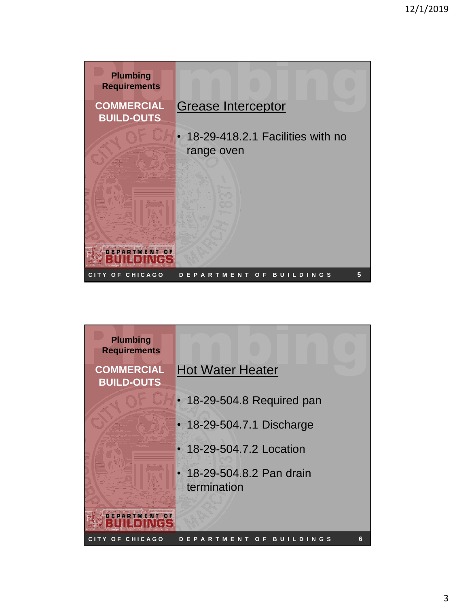

| <b>Plumbing</b><br><b>Requirements</b> |                                          |
|----------------------------------------|------------------------------------------|
| <b>COMMERCIAL</b><br><b>BUILD-OUTS</b> | <b>Hot Water Heater</b>                  |
|                                        | • 18-29-504.8 Required pan               |
|                                        | • 18-29-504.7.1 Discharge                |
|                                        | • 18-29-504.7.2 Location                 |
|                                        | • 18-29-504.8.2 Pan drain<br>termination |
|                                        |                                          |
| CITY OF CHICAGO                        | 6<br>NGS<br>в<br>LDI<br>E.               |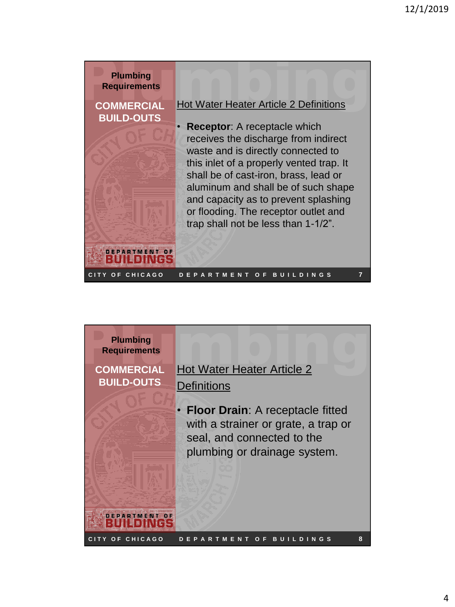

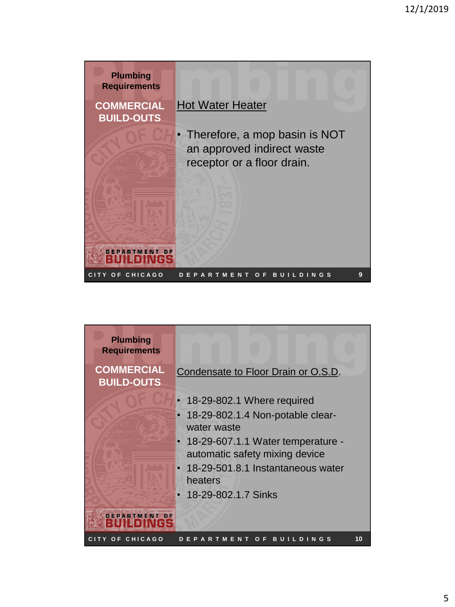

| <b>Plumbing</b><br><b>Requirements</b> |                                                                       |
|----------------------------------------|-----------------------------------------------------------------------|
| <b>COMMERCIAL</b><br><b>BUILD-OUTS</b> | Condensate to Floor Drain or O.S.D.                                   |
|                                        | 18-29-802.1 Where required                                            |
|                                        | 18-29-802.1.4 Non-potable clear-<br>$\bullet$<br>water waste          |
|                                        | • 18-29-607.1.1 Water temperature -<br>automatic safety mixing device |
|                                        | • 18-29-501.8.1 Instantaneous water<br>heaters                        |
|                                        | 18-29-802.1.7 Sinks                                                   |
|                                        |                                                                       |
| CITY OF CHICAGO                        | 10<br><b>BUILDINGS</b><br><b>PARTMEN</b><br>F<br>Ω                    |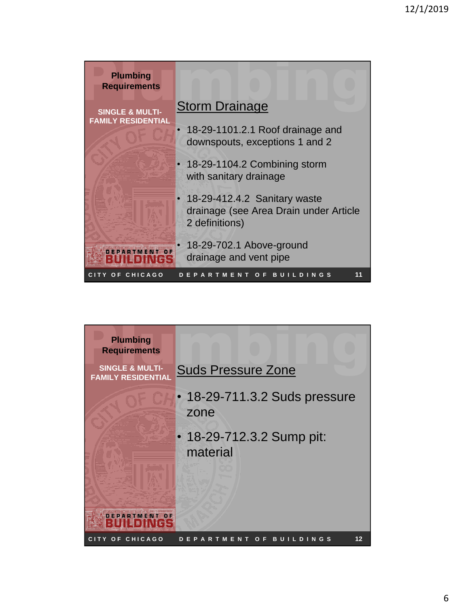| <b>Plumbing</b><br><b>Requirements</b> |                                                                                          |
|----------------------------------------|------------------------------------------------------------------------------------------|
| <b>SINGLE &amp; MULTI-</b>             | <b>Storm Drainage</b>                                                                    |
| <b>FAMILY RESIDENTIAL</b>              | 18-29-1101.2.1 Roof drainage and<br>downspouts, exceptions 1 and 2                       |
|                                        | 18-29-1104.2 Combining storm<br>with sanitary drainage                                   |
|                                        | 18-29-412.4.2 Sanitary waste<br>drainage (see Area Drain under Article<br>2 definitions) |
|                                        | 18-29-702.1 Above-ground<br>drainage and vent pipe                                       |
| TY OF CHICAGO                          | 11<br><b>BUIL</b><br>DINGS<br>R.<br>Е<br>T M<br>ENT<br>О                                 |

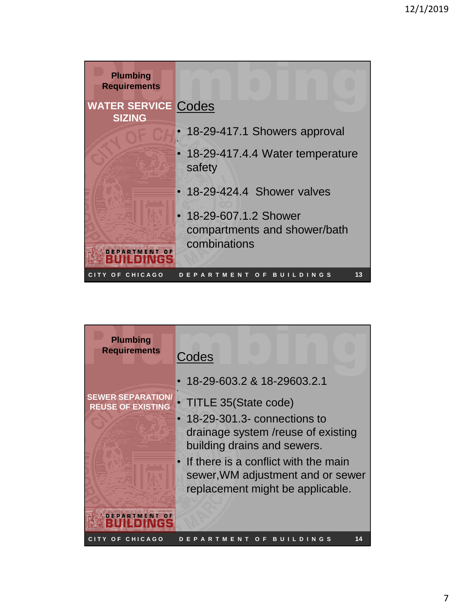| <b>Plumbing</b><br><b>Requirements</b>      |                                                                        |  |  |  |  |
|---------------------------------------------|------------------------------------------------------------------------|--|--|--|--|
| <b>WATER SERVICE Codes</b><br><b>SIZING</b> |                                                                        |  |  |  |  |
|                                             | 18-29-417.1 Showers approval                                           |  |  |  |  |
|                                             | 18-29-417.4.4 Water temperature<br>safety                              |  |  |  |  |
|                                             | • 18-29-424.4 Shower valves                                            |  |  |  |  |
|                                             | • 18-29-607.1.2 Shower<br>compartments and shower/bath<br>combinations |  |  |  |  |
| OF CHICAGO                                  | 13<br>BU<br><b>ILDINGS</b><br>-F<br>R.<br>ENT<br>Ω<br>м                |  |  |  |  |

| <b>Plumbing</b><br><b>Requirements</b>               | Codes                                                                                                           |
|------------------------------------------------------|-----------------------------------------------------------------------------------------------------------------|
|                                                      | 18-29-603.2 & 18-29603.2.1                                                                                      |
| <b>SEWER SEPARATION/</b><br><b>REUSE OF EXISTING</b> | TITLE 35(State code)                                                                                            |
|                                                      | 18-29-301.3- connections to<br>drainage system /reuse of existing<br>building drains and sewers.                |
|                                                      | • If there is a conflict with the main<br>sewer, WM adjustment and or sewer<br>replacement might be applicable. |
|                                                      |                                                                                                                 |
| TY OF CHICAGO                                        | 14                                                                                                              |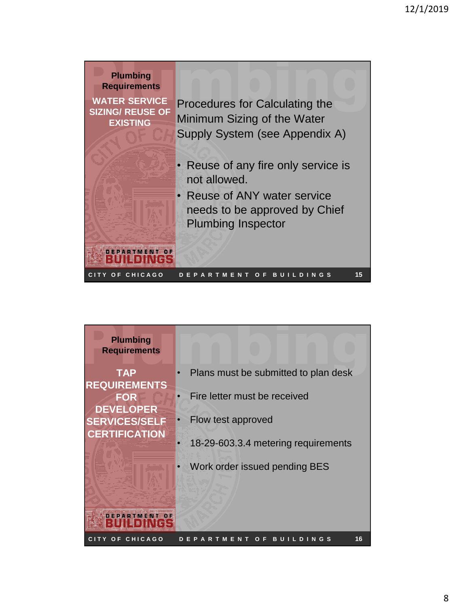

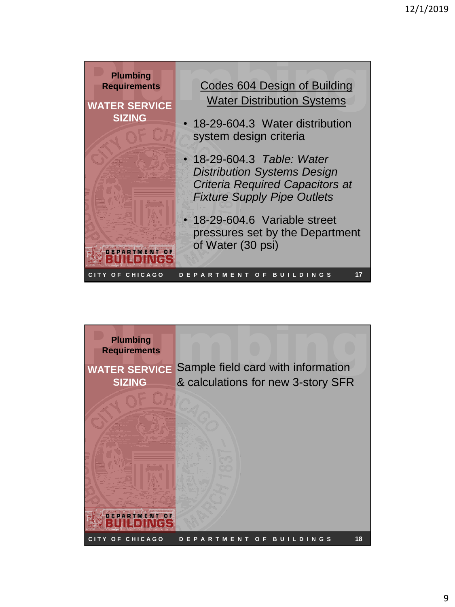

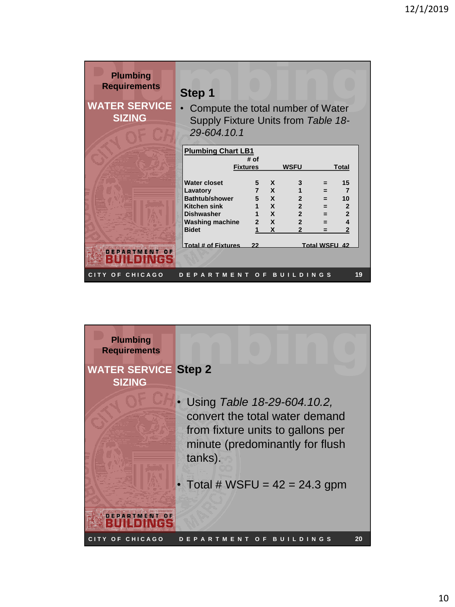| <b>Plumbing</b><br><b>Requirements</b> | Step 1                                                                                                                                         |      |                                                                                           |                                                                                                     |                               |                                                                                    |
|----------------------------------------|------------------------------------------------------------------------------------------------------------------------------------------------|------|-------------------------------------------------------------------------------------------|-----------------------------------------------------------------------------------------------------|-------------------------------|------------------------------------------------------------------------------------|
| <b>WATER SERVICE</b><br><b>SIZING</b>  | Compute the total number of Water<br>Supply Fixture Units from Table 18-<br>29-604.10.1                                                        |      |                                                                                           |                                                                                                     |                               |                                                                                    |
|                                        | <b>Plumbing Chart LB1</b><br><b>Fixtures</b>                                                                                                   | # of |                                                                                           | <b>WSFU</b>                                                                                         |                               | Total                                                                              |
|                                        | <b>Water closet</b><br>Lavatory<br><b>Bathtub/shower</b><br><b>Kitchen sink</b><br><b>Dishwasher</b><br><b>Washing machine</b><br><b>Bidet</b> | 5    | $\mathbf{x}$<br>7 X<br>5 X<br>1 X<br>1 X<br>$\overline{2}$ $\overline{X}$<br>$\mathbf{x}$ | 3<br>$\mathbf{1}$<br>$2^{\circ}$<br>$2^{\circ}$<br>2 <sup>1</sup><br>$\overline{2}$<br>$\mathbf{z}$ | $=$<br>$=$<br>♦<br>$=$<br>$=$ | 15<br>$\overline{7}$<br>10<br>$\overline{2}$<br>$\overline{2}$<br>$\blacktriangle$ |
|                                        | Total # of Fixtures                                                                                                                            | 22   |                                                                                           |                                                                                                     | <b>Total WSFU 42</b>          |                                                                                    |

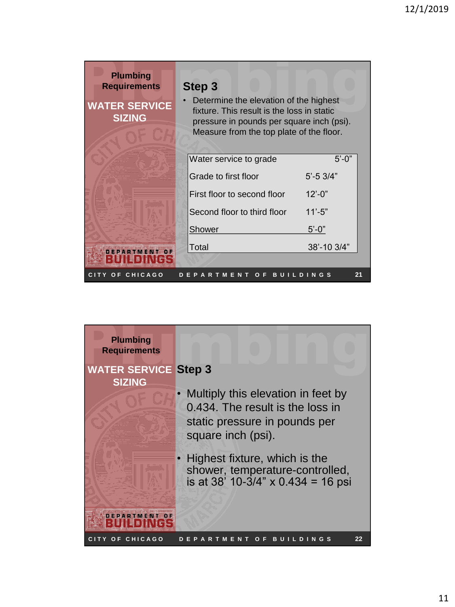| <b>Plumbing</b><br><b>Requirements</b><br><b>WATER SERVICE</b><br><b>SIZING</b> | Step 3<br>Determine the elevation of the highest<br>fixture. This result is the loss in static<br>pressure in pounds per square inch (psi).<br>Measure from the top plate of the floor. |                                                                                              |
|---------------------------------------------------------------------------------|-----------------------------------------------------------------------------------------------------------------------------------------------------------------------------------------|----------------------------------------------------------------------------------------------|
|                                                                                 | Water service to grade<br>Grade to first floor<br>First floor to second floor<br>Second floor to third floor<br><b>Shower</b><br>Total                                                  | $5' - 0''$<br>$5' - 5 \frac{3}{4"$<br>$12' - 0''$<br>$11' - 5"$<br>$5' - 0''$<br>38'-10 3/4" |
| <b>F CHICAGO</b><br>o                                                           | $\overline{o}$ F<br>в                                                                                                                                                                   | 21<br>NG S<br>D                                                                              |

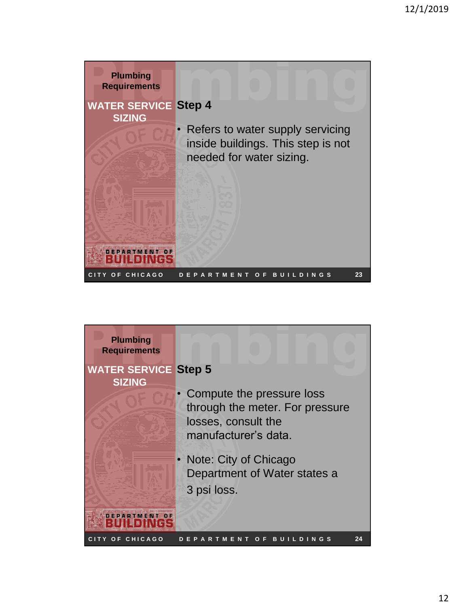

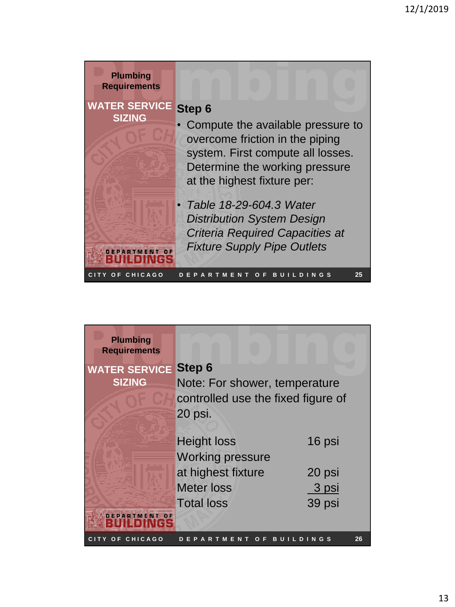| <b>Plumbing</b><br><b>Requirements</b><br><b>WATER SERVICE</b><br><b>SIZING</b> | Step 6<br>Compute the available pressure to                                                                                                    |
|---------------------------------------------------------------------------------|------------------------------------------------------------------------------------------------------------------------------------------------|
|                                                                                 | overcome friction in the piping<br>system. First compute all losses.<br>Determine the working pressure<br>at the highest fixture per:          |
|                                                                                 | • Table 18-29-604.3 Water<br><b>Distribution System Design</b><br><b>Criteria Required Capacities at</b><br><b>Fixture Supply Pipe Outlets</b> |
| OF CHICAGO                                                                      | 25<br>Е<br>BU.<br><b>DINGS</b><br>R.<br>Ω<br>Е<br>T M<br>ENT<br>A<br>. .                                                                       |

| <b>Plumbing</b><br><b>Requirements</b> |                                    |                |
|----------------------------------------|------------------------------------|----------------|
| <b>WATER SERVICE</b>                   | <b>Step 6</b>                      |                |
| <b>SIZING</b>                          | Note: For shower, temperature      |                |
|                                        | controlled use the fixed figure of |                |
|                                        | 20 psi.                            |                |
|                                        |                                    |                |
|                                        | <b>Height loss</b>                 | 16 psi         |
|                                        | <b>Working pressure</b>            |                |
|                                        | at highest fixture                 | 20 psi         |
|                                        | <b>Meter loss</b>                  | 3 psi          |
|                                        | <b>Total loss</b>                  | 39 psi         |
|                                        |                                    |                |
| CITY OF CHICAGO                        |                                    | 26<br>NGS<br>в |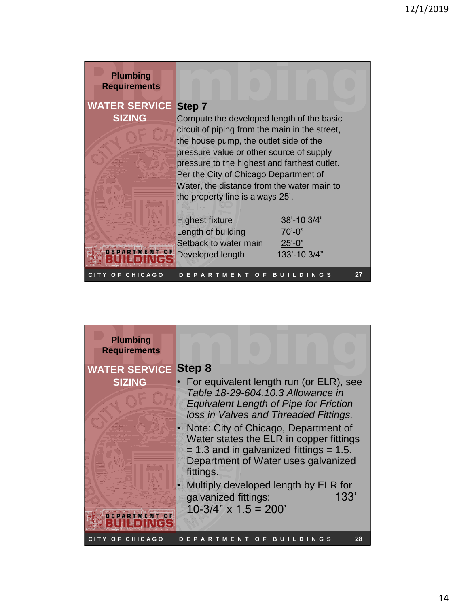| <b>Plumbing</b><br><b>Requirements</b> |                                                                                                                                                                                                                                                                                                                                                                        |                                                             |    |  |  |
|----------------------------------------|------------------------------------------------------------------------------------------------------------------------------------------------------------------------------------------------------------------------------------------------------------------------------------------------------------------------------------------------------------------------|-------------------------------------------------------------|----|--|--|
| <b>WATER SERVICE</b><br><b>SIZING</b>  | Step 7<br>Compute the developed length of the basic<br>circuit of piping from the main in the street,<br>the house pump, the outlet side of the<br>pressure value or other source of supply<br>pressure to the highest and farthest outlet.<br>Per the City of Chicago Department of<br>Water, the distance from the water main to<br>the property line is always 25'. |                                                             |    |  |  |
| <b>TMENT</b><br>$-0F$                  | <b>Highest fixture</b><br>Length of building<br>Setback to water main<br>Developed length                                                                                                                                                                                                                                                                              | $38' - 103/4"$<br>$70' - 0"$<br>$25' - 0''$<br>133'-10 3/4" |    |  |  |
| OF CHICAGO                             | O F<br>E N.                                                                                                                                                                                                                                                                                                                                                            | <b>DINGS</b><br>в                                           | 27 |  |  |

| <b>Plumbing</b><br><b>Requirements</b> |                                                                                                                                                                                                                              |
|----------------------------------------|------------------------------------------------------------------------------------------------------------------------------------------------------------------------------------------------------------------------------|
| <b>WATER SERVICE</b><br><b>SIZING</b>  | Step 8<br>For equivalent length run (or ELR), see<br>Table 18-29-604, 10.3 Allowance in<br><b>Equivalent Length of Pipe for Friction</b>                                                                                     |
|                                        | loss in Valves and Threaded Fittings.<br>Note: City of Chicago, Department of<br>Water states the ELR in copper fittings<br>$= 1.3$ and in galvanized fittings $= 1.5$ .<br>Department of Water uses galvanized<br>fittings. |
|                                        | Multiply developed length by ELR for<br>133'<br>galvanized fittings:<br>$10-3/4$ " x $1.5 = 200$ "                                                                                                                           |
| CITY OF CHICAGO                        | 28<br><b>BUILDINGS</b><br>PARTMENT<br>O<br>-F                                                                                                                                                                                |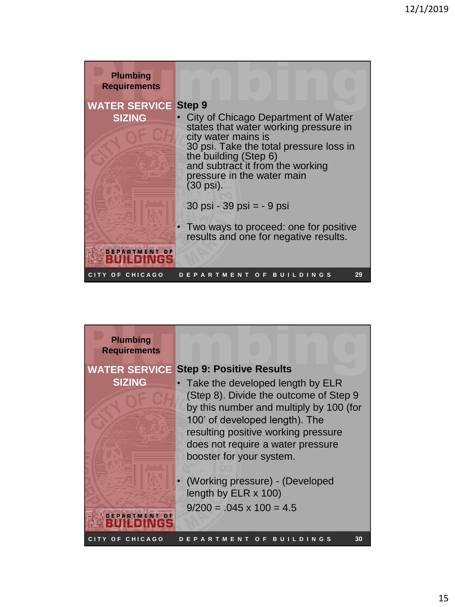| <b>Plumbing</b><br><b>Requirements</b> |                                                                                                                                                                                                                                                        |
|----------------------------------------|--------------------------------------------------------------------------------------------------------------------------------------------------------------------------------------------------------------------------------------------------------|
| <b>WATER SERVICE</b>                   | <b>Step 9</b>                                                                                                                                                                                                                                          |
| <b>SIZING</b>                          | City of Chicago Department of Water<br>states that water working pressure in<br>city water mains is<br>30 psi. Take the total pressure loss in<br>the building (Step 6)<br>and subtract it from the working<br>pressure in the water main<br>(30 psi). |
|                                        | $30$ psi - $39$ psi = $-9$ psi                                                                                                                                                                                                                         |
|                                        | Two ways to proceed: one for positive<br>results and one for negative results.                                                                                                                                                                         |
|                                        |                                                                                                                                                                                                                                                        |
| CITY OF CHICAGO                        | 29<br>O F<br><b>BUILDINGS</b><br>EPARTMENT                                                                                                                                                                                                             |

| <b>Plumbing</b><br><b>Requirements</b><br><b>WATER SERVICE</b><br><b>SIZING</b> | <b>Step 9: Positive Results</b><br>Take the developed length by ELR<br>(Step 8). Divide the outcome of Step 9<br>by this number and multiply by 100 (for<br>100' of developed length). The<br>resulting positive working pressure<br>does not require a water pressure |
|---------------------------------------------------------------------------------|------------------------------------------------------------------------------------------------------------------------------------------------------------------------------------------------------------------------------------------------------------------------|
|                                                                                 | booster for your system.<br>(Working pressure) - (Developed<br>length by $ELR \times 100$ )<br>$9/200 = 0.045 \times 100 = 4.5$                                                                                                                                        |
| CITY OF CHICAGO                                                                 | 30<br>в<br>D<br>INGS<br>R.<br>IJ                                                                                                                                                                                                                                       |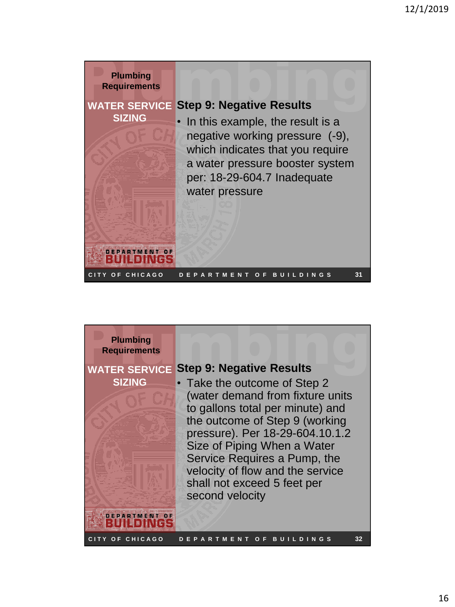

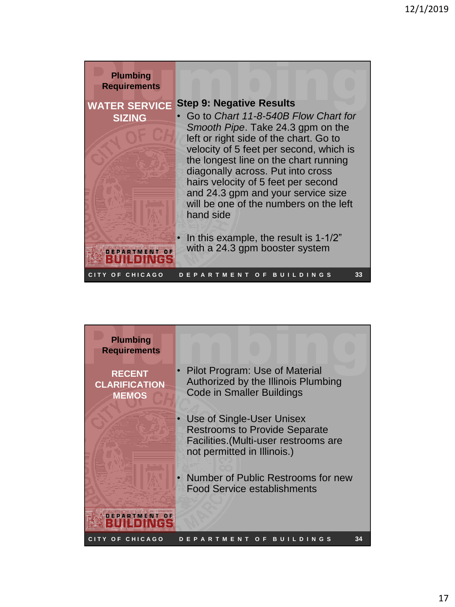

| <b>Plumbing</b><br><b>Requirements</b>                |                                                                                                                                           |
|-------------------------------------------------------|-------------------------------------------------------------------------------------------------------------------------------------------|
| <b>RECENT</b><br><b>CLARIFICATION</b><br><b>MEMOS</b> | Pilot Program: Use of Material<br>Authorized by the Illinois Plumbing<br><b>Code in Smaller Buildings</b>                                 |
|                                                       | Use of Single-User Unisex<br><b>Restrooms to Provide Separate</b><br>Facilities. (Multi-user restrooms are<br>not permitted in Illinois.) |
|                                                       | Number of Public Restrooms for new<br><b>Food Service establishments</b>                                                                  |
|                                                       |                                                                                                                                           |
| OF CHICAGO                                            | 34<br>в<br>G S                                                                                                                            |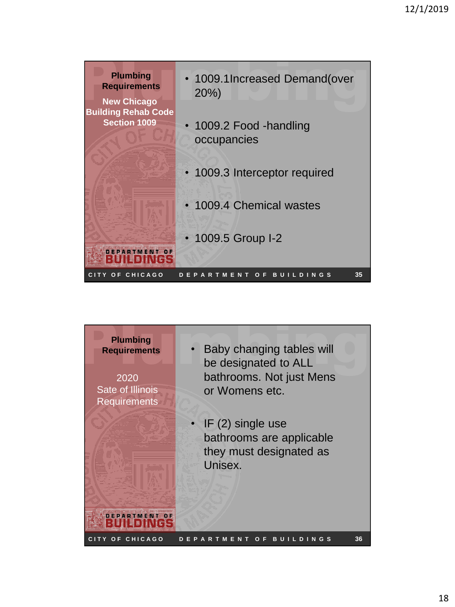